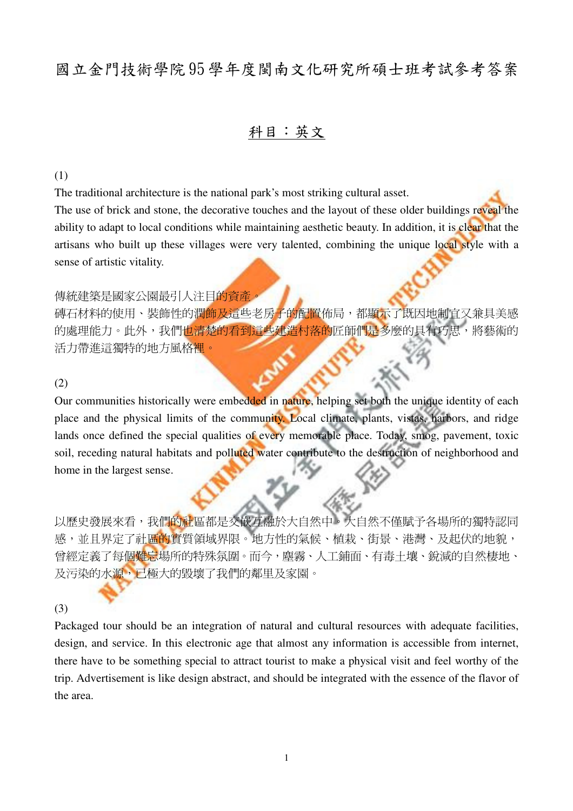# 國立金門技術學院 95 學年度閩南文化研究所碩士班考試參考答案

### 科目:英文

(1)

The traditional architecture is the national park's most striking cultural asset. The use of brick and stone, the decorative touches and the layout of these older buildings reveal the ability to adapt to local conditions while maintaining aesthetic beauty. In addition, it is clear that the artisans who built up these villages were very talented, combining the unique local style with a sense of artistic vitality.

#### 傳統建築是國家公園最引人注目的資產

及污染的水源,已極大的毀壞了我們的鄰里及家園。

确石材料的使用、裝飾性的潤飾及這些老房子的配置佈局,都顯示了既因地制宜又兼具美感 的處理能力。此外,我們也清楚的看到這些建造村落的匠師們是多麼的具有巧思,將藝術的 活力帶進這獨特的地方風格裡。

#### (2)

Our communities historically were embedded in nature, helping set both the unique identity of each place and the physical limits of the community. Local climate, plants, vistas, harbors, and ridge lands once defined the special qualities of every memorable place. Today, smog, pavement, toxic soil, receding natural habitats and polluted water contribute to the destruction of neighborhood and home in the largest sense.

以歷史發展來看,我們的社區都是交破互融於大自然中。大自然不僅賦予各場所的獨特認同 感,並且界定了社區的實質領域界限。地方性的氣候、植栽、街景、港灣、及起伏的地貌, 曾經定義了每個難忘場所的特殊氛圍。而今,塵霧、人工鋪面、有毒土壤、銳減的自然棲地、

## (3)

Packaged tour should be an integration of natural and cultural resources with adequate facilities, design, and service. In this electronic age that almost any information is accessible from internet, there have to be something special to attract tourist to make a physical visit and feel worthy of the trip. Advertisement is like design abstract, and should be integrated with the essence of the flavor of the area.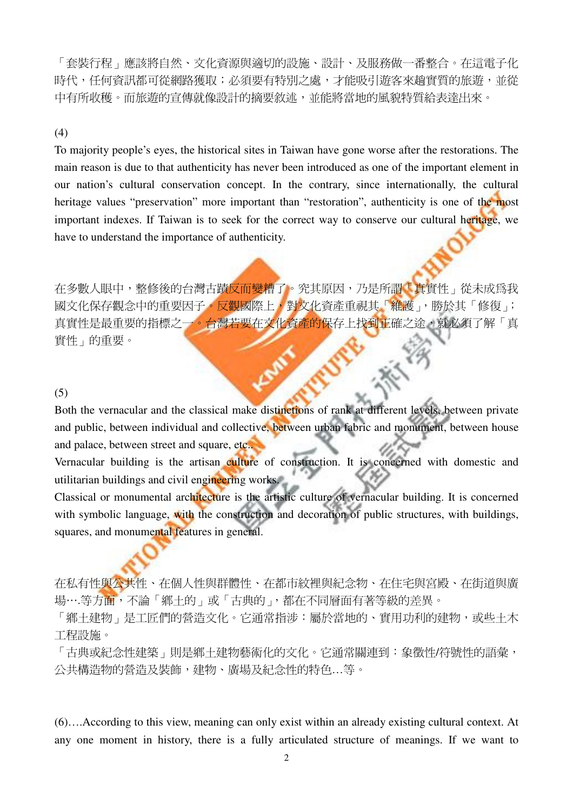「套裝行程」應該將自然、文化資源與適切的設施、設計、及服務做一番整合。在這電子化 時代,任何資訊都可從網路獲取;必須要有特別之處,才能吸引游客來趟實質的旅游,並從 中有所收穫。而旅遊的宣傳就像設計的摘要敘述,並能將當地的風貌特質給表達出來。

### (4)

To majority people's eyes, the historical sites in Taiwan have gone worse after the restorations. The main reason is due to that authenticity has never been introduced as one of the important element in our nation's cultural conservation concept. In the contrary, since internationally, the cultural heritage values "preservation" more important than "restoration", authenticity is one of the most important indexes. If Taiwan is to seek for the correct way to conserve our cultural heritage, we have to understand the importance of authenticity.

在多數人眼中,整修後的台灣古蹟反而變糟了。究其原因,乃是所謂「真實性」從未成爲我 國文化保存觀念中的重要因子。反觀國際上,對文化資產重視其「維護」,勝於其「修復」; 真實性是最重要的指標之一。台灣若要在文化資產的保存上找到正確之途,就必須了解「真 實性」的重要。

#### (5)

Both the vernacular and the classical make distinctions of rank at different levels, between private and public, between individual and collective, between urban fabric and monument, between house and palace, between street and square, etc..

Vernacular building is the artisan culture of construction. It is concerned with domestic and utilitarian buildings and civil engineering works.

Classical or monumental architecture is the artistic culture of vernacular building. It is concerned with symbolic language, with the construction and decoration of public structures, with buildings, squares, and monumental features in general.

在私有性與公共性、在個人性與群體性、在都市紋裡與紀念物、在住宅與宮殿、在街道與廣 場….等方面,不論「鄉土的」或「古典的」,都在不同層面有著等級的差異。

「鄉土建物」是工匠們的營造文化。它通常指涉:屬於當地的、實用功利的建物,或些土木 工程設施。

「古典或紀念性建築」則是鄉土建物藝術化的文化。它通常關連到:象徵性/符號性的語彙, 公共構造物的營造及裝飾,建物、廣場及紀念性的特色…等。

(6)….According to this view, meaning can only exist within an already existing cultural context. At any one moment in history, there is a fully articulated structure of meanings. If we want to